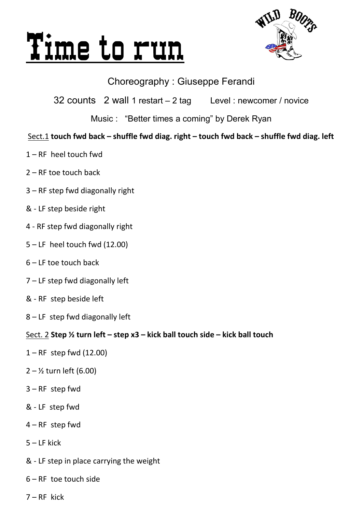# Time to run



## Choreography : Giuseppe Ferandi

32 counts 2 wall 1 restart – 2 tag Level : newcomer / novice

Music : "Better times a coming" by Derek Ryan

## Sect.1 **touch fwd back – shuffle fwd diag. right – touch fwd back – shuffle fwd diag. left**

- 1 RF heel touch fwd
- 2 RF toe touch back
- 3 RF step fwd diagonally right
- & LF step beside right
- 4 RF step fwd diagonally right
- 5 LF heel touch fwd (12.00)
- 6 LF toe touch back
- 7 LF step fwd diagonally left
- & RF step beside left
- 8 LF step fwd diagonally left

#### Sect. 2 **Step ½ turn left – step x3 – kick ball touch side – kick ball touch**

- $1 RF$  step fwd (12.00)
- $2 1/2$  turn left (6.00)
- 3 RF step fwd
- & LF step fwd
- 4 RF step fwd
- 5 LF kick
- & LF step in place carrying the weight
- 6 RF toe touch side
- 7 RF kick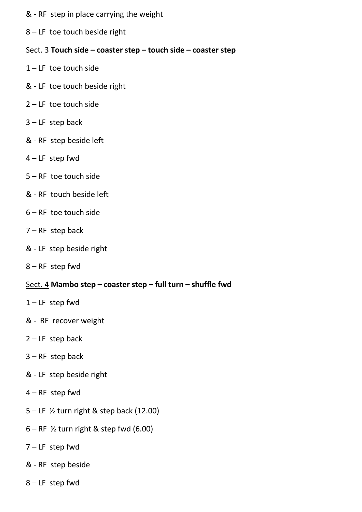- & RF step in place carrying the weight
- 8 LF toe touch beside right

#### Sect. 3 **Touch side – coaster step – touch side – coaster step**

- $1 LF$  toe touch side
- & LF toe touch beside right
- 2 LF toe touch side
- $3$  LF step back
- & RF step beside left
- 4 LF step fwd
- 5 RF toe touch side
- & RF touch beside left
- 6 RF toe touch side
- 7 RF step back
- & LF step beside right
- 8 RF step fwd

#### Sect. 4 **Mambo step – coaster step – full turn – shuffle fwd**

- $1 LF$  step fwd
- & RF recover weight
- $2 LF$  step back
- $3 RF$  step back
- & LF step beside right
- 4 RF step fwd
- 5 LF ½ turn right & step back (12.00)
- $6 RF$  % turn right & step fwd (6.00)
- 7 LF step fwd
- & RF step beside
- 8 LF step fwd